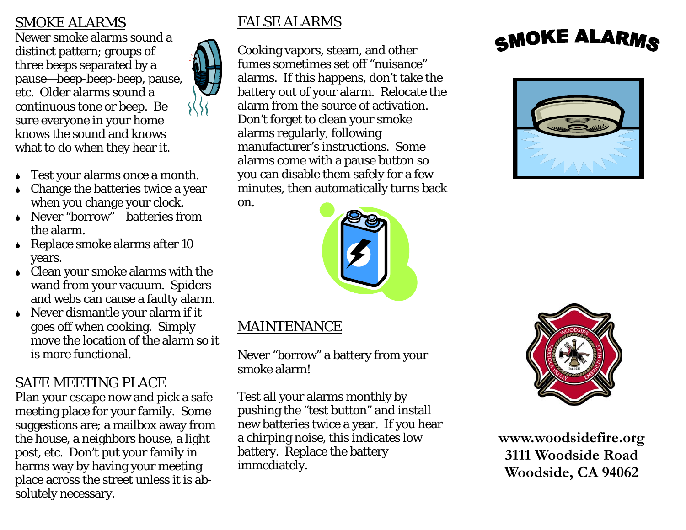#### SMOKE ALARMS

Newer smoke alarms sound a distinct pattern; groups of three beeps separated by a pause—beep-beep-beep, pause, etc. Older alarms sound a continuous tone or beep. Be sure everyone in your home knows the sound and knows what to do when they hear it.

- Test your alarms once a month.
- <sup>6</sup>Change the batteries twice a year when you change your clock.
- 6 Never "borrow" batteries from the alarm.
- $\triangle$  Replace smoke alarms after 10 years.
- $\bullet$  Clean your smoke alarms with the wand from your vacuum. Spiders and webs can cause a faulty alarm.
- $\bullet$  Never dismantle your alarm if it goes off when cooking. Simply move the location of the alarm so it is more functional.

# SAFE MEETING PLACE

Plan your escape now and pick a safe meeting place for your family. Some suggestions are; a mailbox away from the house, a neighbors house, a light post, etc. Don't put your family in harms way by having your meeting place across the street unless it is absolutely necessary.

#### FALSE ALARMS

Cooking vapors, steam, and other fumes sometimes set off "nuisance" alarms. If this happens, don't take the battery out of your alarm. Relocate the alarm from the source of activation. Don't forget to clean your smoke alarms regularly, following manufacturer's instructions. Some alarms come with a pause button so you can disable them safely for a few minutes, then automatically turns back

on.



### MAINTENANCE

Never "borrow" a battery from your smoke alarm!

Test all your alarms monthly by pushing the "test button" and install new batteries twice a year. If you hear a chirping noise, this indicates low battery. Replace the battery immediately.

# SMOKE ALARMS





**www.woodsidefire.org 3111 Woodside Road Woodside, CA 94062**